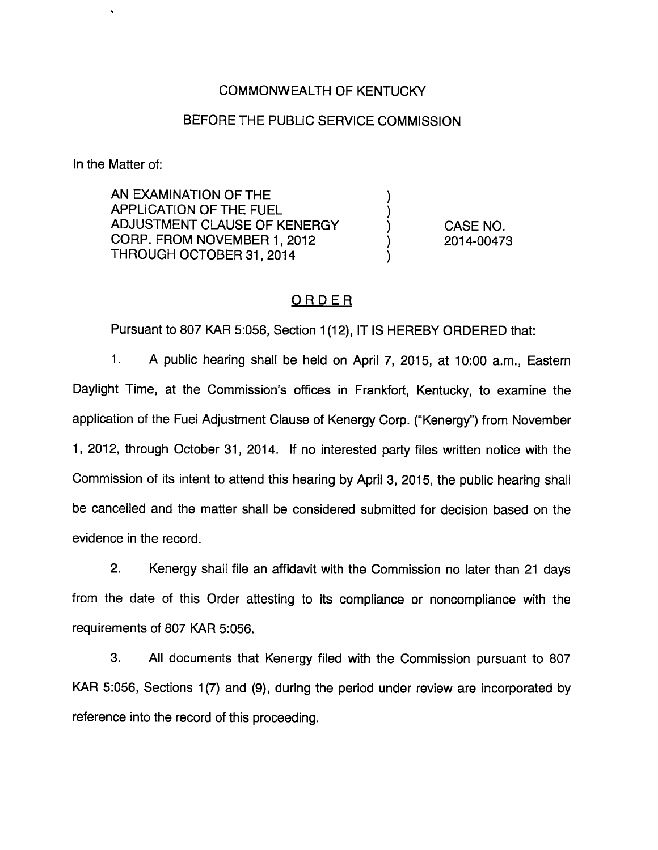### COMMONWEALTH OF KENTUCKY

#### BEFORE THE PUBLIC SERVICE COMMISSION

 $\mathcal{Y}$ 

 $\mathcal{L}$  $\lambda$ 

In the Matter of;

AN EXAMINATION OF THE APPLICATION OF THE FUEL ADJUSTMENT CLAUSE OF KENERGY CORP. FROM NOVEMBER 1, 2012 THROUGH OCTOBER 31, 2014

CASE NO. 2014-00473

## ORDER

Pursuant to 807 KAR 5:056, Section 1(12), IT IS HEREBY ORDERED that:

1. A public hearing shall be held on April 7, 2015, at 10:00 a.m.. Eastern Daylight Time, at the Commission's offices in Frankfort, Kentucky, to examine the application of the Fuel Adjustment Clause of Kenergy Corp. ("Kenergy") from November 1, 2012, through October 31, 2014. If no Interested party files written notice with the Commission of its intent to attend this hearing by April 3, 2015, the public hearing shall be cancelled and the matter shall be considered submitted for decision based on the evidence in the record.

2. Kenergy shall file an affidavit with the Commission no later than 21 days from the date of this Order attesting to its compliance or noncompliance with the requirements of 807 KAR 5:056.

3. All documents that Kenergy filed with the Commission pursuant to 807 KAR 5:056, Sections 1(7) and (9), during the period under review are incorporated by reference into the record of this proceeding.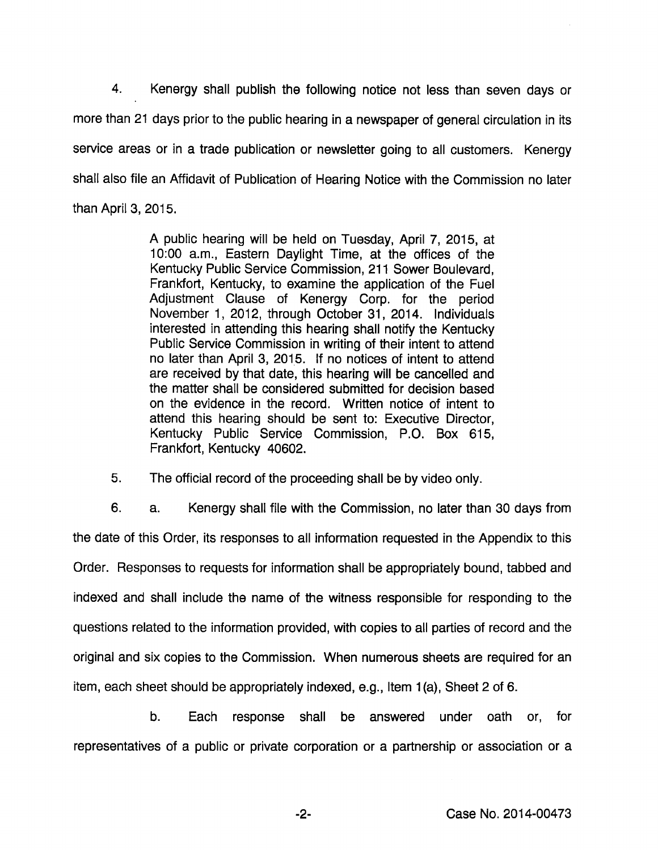4. Kenergy shall publish the following notice not less than seven days or more than 21 days prior to the public hearing in a newspaper of general circulation in its service areas or in a trade publication or newsletter going to all customers. Kenergy shall also file an Affidavit of Publication of Hearing Notice with the Commission no later than April 3, 2015.

> A public hearing will be held on Tuesday, April 7, 2015, at 10:00 a.m.. Eastern Daylight Time, at the offices of the Kentucky Public Service Commission, 211 Sower Boulevard, Frankfort, Kentucky, to examine the application of the Fuel Adjustment Clause of Kenergy Corp. for the period November 1, 2012, through October 31, 2014. Individuals interested in attending this hearing shall notify the Kentucky Public Service Commission in writing of their intent to attend no later than April 3, 2015. If no notices of intent to attend are received by that date, this hearing will be cancelled and the matter shall be considered submitted for decision based on the evidence in the record. Written notice of intent to attend this hearing should be sent to: Executive Director, Kentucky Public Service Commission, P.O. Box 615, Frankfort, Kentucky 40602.

5. The official record of the proceeding shall be by video only.

6. a. Kenergy shall file with the Commission, no later than 30 days from the date of this Order, its responses to all information requested in the Appendix to this Order. Responses to requests for information shall be appropriately bound, tabbed and indexed and shall include the name of the witness responsible for responding to the questions related to the information provided, with copies to all parties of record and the original and six copies to the Commission. When numerous sheets are required for an item, each sheet should be appropriately indexed, e.g.. Item 1(a). Sheet 2 of 6.

b. Each response shall be answered under oath or, for representatives of a public or private corporation or a partnership or association or a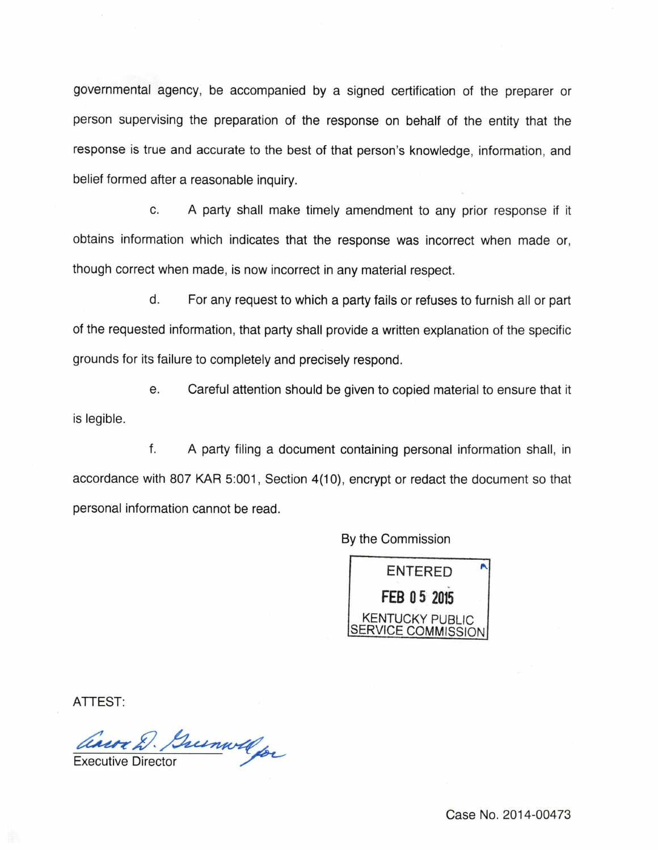governmental agency, be accompanied by a signed certification of the preparer or person supervising the preparation of the response on behalf of the entity that the response is true and accurate to the best of that person's knowledge, information, and belief formed after a reasonable inquiry.

c. A party shall make timely amendment to any prior response if it obtains information which indicates that the response was incorrect when made or, though correct when made, is now incorrect in any material respect.

d. For any request to which a party fails or refuses to furnish all or part of the requested information, that party shall provide a written explanation of the specific grounds for its failure to completely and precisely respond.

e. Careful attention should be given to copied material to ensure that it is legible.

f. A party filing a document containing personal information shall, in accordance with 807 KAR 5:001, Section 4(10), encrypt or redact the document so that personal information cannot be read.

By the Commission



ATTEST:

ans 2. Guernwald

Case No. 2014-00473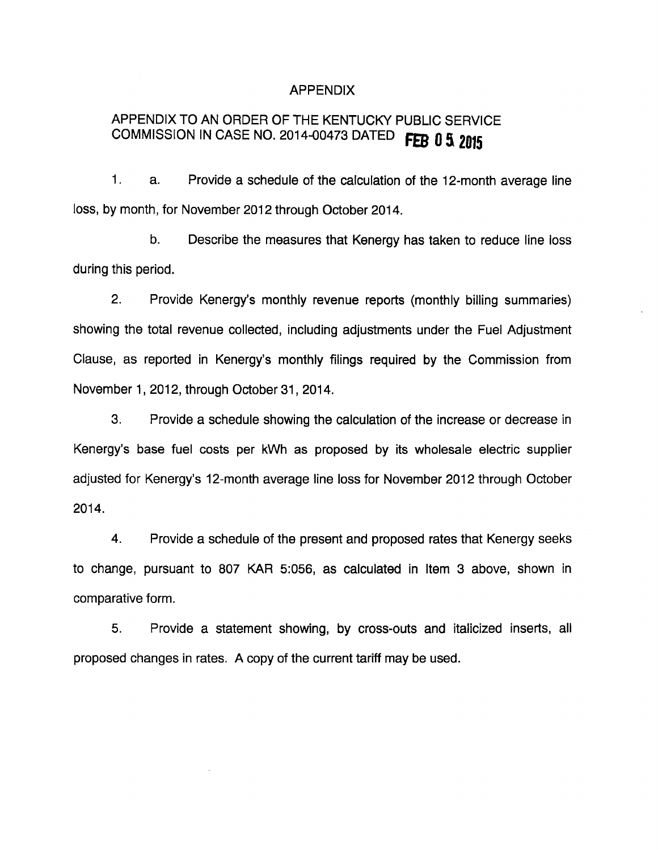#### APPENDIX

# APPENDIX TO AN ORDER OF THE KENTUCKY PUBLIC SERVICE COMMISSION IN CASE NO. 2014-00473 DATED FEB 0 5 2015

1. a. Provide a schedule of the calculation of the 12-month average line loss, by month, for November 2012 through October 2014.

b. Describe the measures that Kenergy has taken to reduce line loss during this period.

2. Provide Kenergy's monthly revenue reports (monthly billing summaries) showing the total revenue collected, including adjustments under the Fuel Adjustment Clause, as reported in Kenergy's monthly filings required by the Commission from November 1, 2012, through October 31, 2014.

3. Provide a schedule showing the calculation of the increase or decrease in Kenergy's base fuel costs per kWh as proposed by its wholesale electric supplier adjusted for Kenergy's 12-month average line loss for November 2012 through October 2014.

4. Provide a schedule of the present and proposed rates that Kenergy seeks to change, pursuant to 807 KAR 5:056, as calculated in Item 3 above, shown in comparative form.

5. Provide a statement showing, by cross-outs and italicized inserts, all proposed changes in rates. A copy of the current tariff may be used.